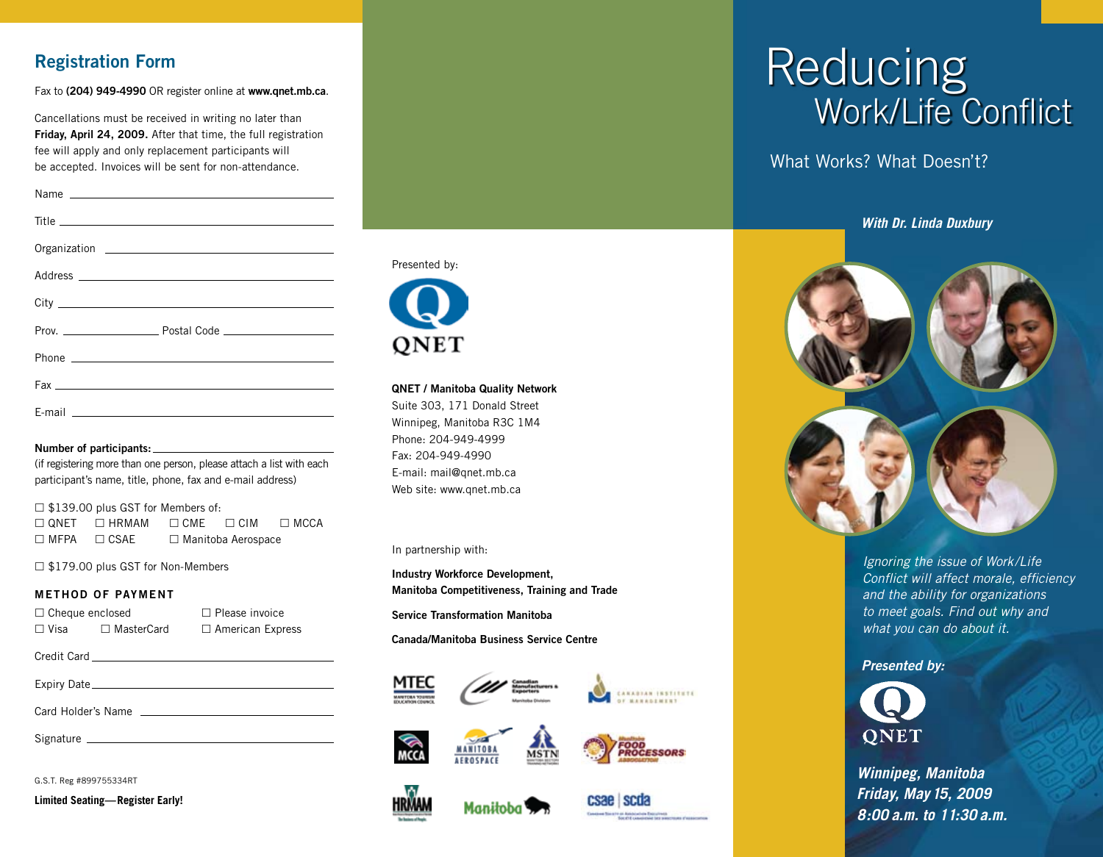## Registration Form

Fax to (204) 949-4990 OR register online at [www.qnet.mb.ca](http://www.qnet.mb.ca).

Cancellations must be received in writing no later than Friday, April 24, 2009. After that time, the full registration fee will apply and only replacement participants will be accepted. Invoices will be sent for non-attendance.

#### Number of participants:

(if registering more than one person, please attach a list with each participant's name, title, phone, fax and e-mail address)

 $\square$  \$139.00 plus GST for Members of:  $\square$  QNET  $\square$  HRMAM  $\square$  CME  $\square$  CIM  $\square$  MCCA  $\Box$  MFPA  $\Box$  CSAE  $\Box$  Manitoba Aerospace

□ \$179.00 plus GST for Non-Members

### METHOD OF PAYMENT

| $\Box$ Cheque enclosed |                   | $\Box$ Please invoice   |
|------------------------|-------------------|-------------------------|
| $\Box$ Visa            | $\Box$ MasterCard | $\Box$ American Express |

| Credit Card |  |
|-------------|--|
|             |  |

Expiry Date

Card Holder's Name

Signature

G.S.T. Reg #899755334RT

**Limited Seating—Register Early!**



### QNET / Manitoba Quality Network

Suite 303, 171 Donald Street Winnipeg, Manitoba R3C 1M4 Phone: 204-949-4999 Fax: 204-949-4990 E-mail: [mail@qnet.mb.ca](mailto:mail@qnet.mb.ca) Web site: [www.qnet.mb.ca](http://www.qnet.mb.ca)

In partnership with:

Industry Workforce Development, Manitoba Competitiveness, Training and Trade

Service Transformation Manitoba

Canada/Manitoba Business Service Centre













## Reducing Work/Life Conflict

What Works? What Doesn't?

*With Dr. Linda Duxbury*



*Ignoring the issue of Work/Life Conflict will affect morale, efficiency and the ability for organizations to meet goals. Find out why and what you can do about it.*

### *Presented by:*



*Winnipeg, Manitoba Friday, May 15, 2009 8:00 a.m. to 11:30 a.m.*